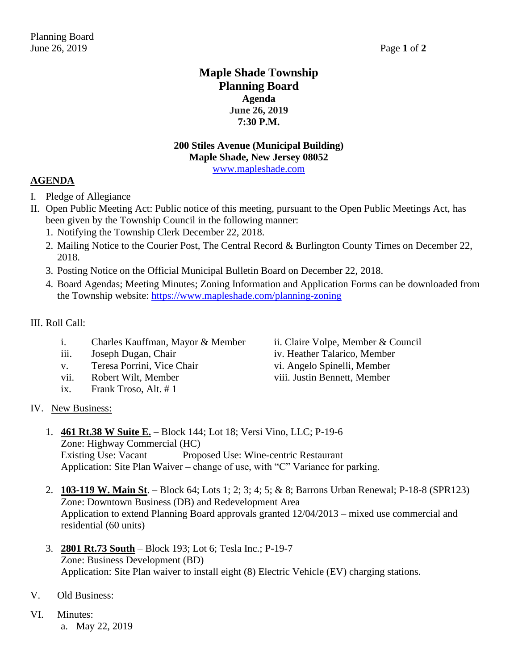### **Maple Shade Township Planning Board Agenda June 26, 2019 7:30 P.M.**

## **200 Stiles Avenue (Municipal Building) Maple Shade, New Jersey 08052**

[www.mapleshade.com](http://www.mapleshade.com/)

#### **AGENDA**

- I. Pledge of Allegiance
- II. Open Public Meeting Act: Public notice of this meeting, pursuant to the Open Public Meetings Act, has been given by the Township Council in the following manner:
	- 1. Notifying the Township Clerk December 22, 2018.
	- 2. Mailing Notice to the Courier Post, The Central Record & Burlington County Times on December 22, 2018.
	- 3. Posting Notice on the Official Municipal Bulletin Board on December 22, 2018.
	- 4. Board Agendas; Meeting Minutes; Zoning Information and Application Forms can be downloaded from the Township website:<https://www.mapleshade.com/planning-zoning>

#### III. Roll Call:

- i. Charles Kauffman, Mayor & Member ii. Claire Volpe, Member & Council
- 
- v. Teresa Porrini, Vice Chair vi. Angelo Spinelli, Member
- vii. Robert Wilt, Member viii. Justin Bennett, Member
- ix. Frank Troso, Alt. # 1
- iii. Joseph Dugan, Chair iv. Heather Talarico, Member

#### IV. New Business:

- 1. **461 Rt.38 W Suite E.** Block 144; Lot 18; Versi Vino, LLC; P-19-6 Zone: Highway Commercial (HC) Existing Use: Vacant Proposed Use: Wine-centric Restaurant Application: Site Plan Waiver – change of use, with "C" Variance for parking.
- 2. **103-119 W. Main St**. Block 64; Lots 1; 2; 3; 4; 5; & 8; Barrons Urban Renewal; P-18-8 (SPR123) Zone: Downtown Business (DB) and Redevelopment Area Application to extend Planning Board approvals granted 12/04/2013 – mixed use commercial and residential (60 units)
- 3. **2801 Rt.73 South** Block 193; Lot 6; Tesla Inc.; P-19-7 Zone: Business Development (BD) Application: Site Plan waiver to install eight (8) Electric Vehicle (EV) charging stations.
- V. Old Business:
- VI. Minutes:
	- a. May 22, 2019